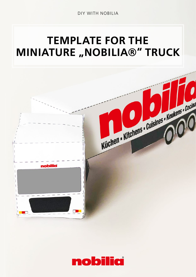## TEMPLATE FOR THE **MINIATURE "NOBILIA®" TRUCK**



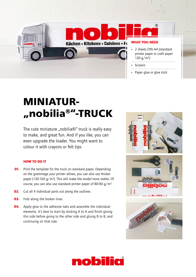

## **MINIATUR- "nobilia®"-TRUCK**

The cute miniature "nobilia $\mathcal{D}$ " truck is really easy to make, and great fun. And if you like, you can even upgrade the loader. You might want to colour it with crayons or felt tips.

## HOW TO DO IT

- **01.** Print the template for the truck on standard paper. Depending on the grammage your printer allows, you can also use thicker paper (130-160 g/m²). This will make the model more stable. Of course, you can also use standard printer paper of 80-90 g/m².
- **02.** Cut all 4 individual parts out along the outlines.
- **03.** Fold along the broken lines.
- **04.** Apply glue to the adhesive tabs and assemble the individual elements. It's best to start by sticking A to A and finish gluing this side before going to the other side and gluing B to B, and continuing on that side.



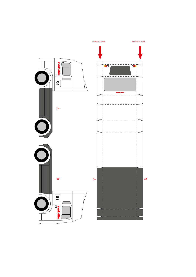